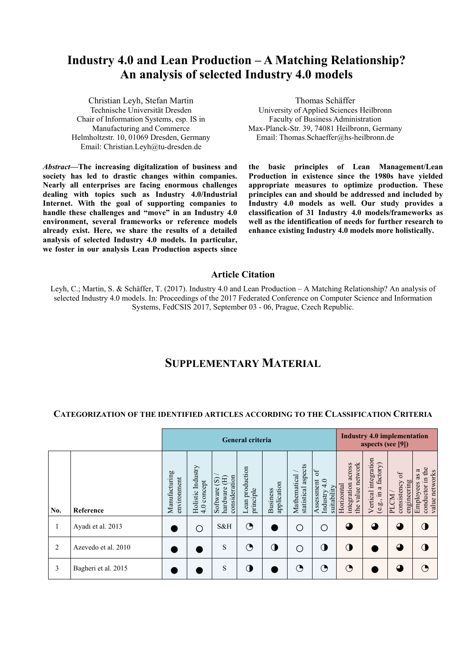# **Industry 4.0 and Lean Production – A Matching Relationship? An analysis of selected Industry 4.0 models**

Christian Leyh, Stefan Martin Technische Universität Dresden Chair of Information Systems, esp. IS in Manufacturing and Commerce Helmholtzstr. 10, 01069 Dresden, Germany Email: Christian.Leyh@tu-dresden.de

*Abstract—***The increasing digitalization of business and society has led to drastic changes within companies. Nearly all enterprises are facing enormous challenges dealing with topics such as Industry 4.0/Industrial Internet. With the goal of supporting companies to handle these challenges and "move" in an Industry 4.0 environment, several frameworks or reference models already exist. Here, we share the results of a detailed analysis of selected Industry 4.0 models. In particular, we foster in our analysis Lean Production aspects since** 

Thomas Schäffer University of Applied Sciences Heilbronn Faculty of Business Administration Max-Planck-Str. 39, 74081 Heilbronn, Germany Email: Thomas.Schaeffer@hs-heilbronn.de

**the basic principles of Lean Management/Lean Production in existence since the 1980s have yielded appropriate measures to optimize production. These principles can and should be addressed and included by Industry 4.0 models as well. Our study provides a classification of 31 Industry 4.0 models/frameworks as well as the identification of needs for further research to enhance existing Industry 4.0 models more holistically.** 

#### **Article Citation**

Leyh, C.; Martin, S. & Schäffer, T. (2017). Industry 4.0 and Lean Production – A Matching Relationship? An analysis of selected Industry 4.0 models. In: Proceedings of the 2017 Federated Conference on Computer Science and Information Systems, FedCSIS 2017, September 03 - 06, Prague, Czech Republic.

# **SUPPLEMENTARY MATERIAL**

#### **CATEGORIZATION OF THE IDENTIFIED ARTICLES ACCORDING TO THE CLASSIFICATION CRITERIA**

|     |                     | <b>General criteria</b>      |                                  |                                                                       |                              |                                |                                      |                                                             |                                                             | <b>Industry 4.0 implementation</b><br>aspects (see [9]) |                                                   |                                                            |  |
|-----|---------------------|------------------------------|----------------------------------|-----------------------------------------------------------------------|------------------------------|--------------------------------|--------------------------------------|-------------------------------------------------------------|-------------------------------------------------------------|---------------------------------------------------------|---------------------------------------------------|------------------------------------------------------------|--|
| No. | Reference           | Manufacturing<br>environment | Holistic Industry<br>4.0 concept | consideration<br>闰<br>$\overline{\mathbf{S}}$<br>hardware<br>Software | Lean production<br>principle | application<br><b>Business</b> | statistical aspects<br>Mathematical/ | 6 <sup>4</sup><br>Industry 4.0<br>Assessment<br>suitability | network<br>across<br>integration<br>Horizontal<br>the value | Vertical integration<br>a factory)<br>$\Xi$<br>(e.g.,   | $\sigma$ f<br>consistency<br>engineering<br>PLCM. | conductor in the<br>ß<br>value networks<br>as<br>Employees |  |
| 1   | Ayadi et al. 2013   |                              | ◯                                | S&H                                                                   | ◔                            |                                | Ο                                    | О                                                           | $\mathbf \Omega$                                            | $\Omega$                                                | $\mathbf 0$                                       |                                                            |  |
| 2   | Azevedo et al. 2010 |                              |                                  | S                                                                     | ◔                            | ◑                              | ∩                                    | $\bigcirc$                                                  | $\mathbf 0$                                                 |                                                         | $\mathbf 0$                                       |                                                            |  |
| 3   | Bagheri et al. 2015 |                              |                                  | S                                                                     | ◑                            |                                | ◔                                    | ◑                                                           | ◔                                                           |                                                         | $\mathbf 4$                                       |                                                            |  |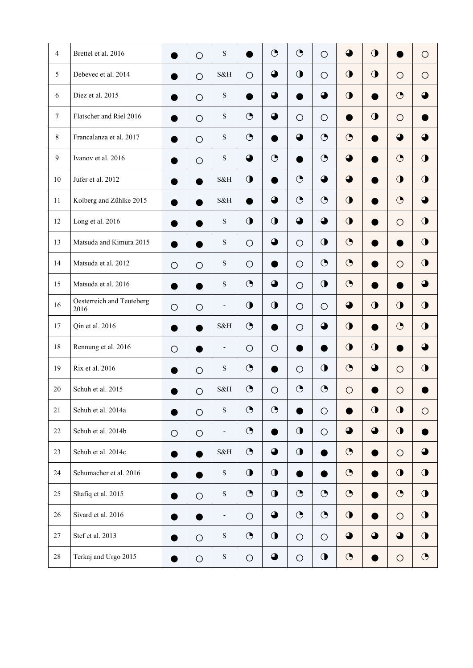| $\overline{4}$ | Brettel et al. 2016               |            | $\bigcirc$ | ${\bf S}$                |            | $\bigodot$       | $\bigodot$  | $\bigcirc$ | $\bullet$   | $\bigcirc$  |             | $\circ$    |
|----------------|-----------------------------------|------------|------------|--------------------------|------------|------------------|-------------|------------|-------------|-------------|-------------|------------|
| 5              | Debevec et al. 2014               |            | $\circ$    | S&H                      | $\circ$    | $\bullet$        | $\mathbf 0$ | $\circ$    | $\bigcirc$  | $\bigcirc$  | $\circ$     | $\circ$    |
| 6              | Diez et al. 2015                  |            | $\bigcirc$ | ${\bf S}$                |            | $\bigodot$       |             | $\bigodot$ | $\mathbf 0$ |             | $\bigodot$  |            |
| $\tau$         | Flatscher and Riel 2016           |            | $\bigcirc$ | ${\bf S}$                | $\bigodot$ | $\ddot{\bullet}$ | $\bigcirc$  | $\bigcirc$ | ●           | $\bigcirc$  | $\bigcirc$  |            |
| $8\,$          | Francalanza et al. 2017           |            | $\circ$    | $\mathbf S$              | $\bigodot$ |                  | $\bullet$   | $\odot$    | $\bigodot$  |             | $\bigodot$  | ◕          |
| 9              | Ivanov et al. 2016                |            | $\bigcirc$ | ${\bf S}$                | ◕          | $\bigodot$       |             | $\bigodot$ | $\bullet$   |             | $\bigodot$  | $\bigcirc$ |
| 10             | Jufer et al. 2012                 |            | $\bullet$  | S&H                      | $\bigcirc$ | ٠                | $\bigodot$  | $\bigodot$ | $\bigodot$  | D           | $\mathbf 0$ | $\bigcirc$ |
| 11             | Kolberg and Zühlke 2015           |            |            | S&H                      |            | $\bullet$        | $\bigodot$  | $\bigodot$ | $\mathbf 0$ |             | $\bigodot$  | Δ          |
| 12             | Long et al. 2016                  |            |            | ${\bf S}$                | $\bigcirc$ | $\bigcirc$       | $\bullet$   | $\bigodot$ | $\bigcirc$  |             | $\circ$     | $\bigcirc$ |
| 13             | Matsuda and Kimura 2015           |            |            | ${\bf S}$                | $\bigcirc$ | $\bullet$        | $\bigcirc$  | $\bigcirc$ | $\bigodot$  |             | D           | $\bigcirc$ |
| 14             | Matsuda et al. 2012               | $\circ$    | $\circ$    | $\mathbf S$              | $\circ$    | $\bullet$        | $\circ$     | $\bigodot$ | $\bigodot$  | D           | $\circ$     | $\bigcirc$ |
| 15             | Matsuda et al. 2016               |            |            | $\mathbf S$              | $\bigodot$ | $\bullet$        | $\bigcirc$  | $\bigcirc$ | $\bigodot$  |             |             | ▲          |
| 16             | Oesterreich and Teuteberg<br>2016 | $\bigcirc$ | $\bigcirc$ | $\overline{\phantom{a}}$ | $\bigcirc$ | $\mathbf 0$      | $\bigcirc$  | $\circ$    | $\bullet$   | $\mathbf 0$ | $\bigcirc$  | $\bigcirc$ |
| 17             | Qin et al. 2016                   |            |            | S&H                      | $\bigodot$ |                  | $\circ$     | $\bigodot$ | $\mathbf 0$ | ●           | $\bigodot$  | $\bigcirc$ |
| 18             | Rennung et al. 2016               | O          |            | $\overline{\phantom{a}}$ | O          | $\bigcirc$       |             |            | $\mathbf 0$ | $\mathbf 0$ |             | 4          |
| 19             | Rix et al. 2016                   |            | $\bigcirc$ | ${\bf S}$                | $\bigodot$ | O                | O           | $\bigcirc$ | $\bigodot$  | $\bigodot$  | $\circ$     | $\bigcirc$ |
| 20             | Schuh et al. 2015                 |            | $\bigcirc$ | S&H                      | $\odot$    | $\bigcirc$       | $\bigodot$  | $\bigodot$ | $\bigcirc$  |             | O           |            |
| 21             | Schuh et al. 2014a                |            | $\bigcirc$ | ${\bf S}$                | $\bigodot$ | $\bigodot$       |             | $\bigcirc$ |             | $\mathbf 0$ | $\bigcirc$  | $\bigcirc$ |
| 22             | Schuh et al. 2014b                | $\circ$    | $\bigcirc$ | $\overline{\phantom{a}}$ | $\bigodot$ | ●                | $\mathbf 0$ | $\circ$    | $\bullet$   | $\bigodot$  | $\bigcirc$  |            |
| 23             | Schuh et al. 2014c                |            |            | S&H                      | $\bigodot$ | $\bigodot$       | $\bigcirc$  |            | $\bigodot$  | 0           | $\bigcirc$  | 4          |
| 24             | Schumacher et al. 2016            |            |            | ${\bf S}$                | $\bigcirc$ | $\bigcirc$       | $\bullet$   | $\bullet$  | $\bigodot$  | ●           | $\bigcirc$  | $\bigcirc$ |
| 25             | Shafiq et al. 2015                |            | $\bigcirc$ | ${\bf S}$                | $\bigodot$ | $\bigcirc$       | $\bigodot$  | $\bigodot$ | $\bigodot$  | D           | $\bigodot$  | $\bigcirc$ |
| 26             | Sivard et al. 2016                |            | ●          | $\overline{\phantom{a}}$ | $\bigcirc$ | $\bullet$        | $\bigodot$  | $\bigodot$ | $\bigcirc$  | 0           | $\bigcirc$  | $\bigcirc$ |
| 27             | Stef et al. 2013                  |            | $\bigcirc$ | ${\bf S}$                | $\bigodot$ | $\bigcirc$       | $\circ$     | $\bigcirc$ | $\bullet$   | $\bigodot$  | $\bigodot$  | $\bigcirc$ |
| 28             | Terkaj and Urgo 2015              |            | $\bigcirc$ | ${\bf S}$                | $\bigcirc$ | $\bullet$        | $\bigcirc$  | $\bigcirc$ | $\bigodot$  |             | $\bigcirc$  | $\bigodot$ |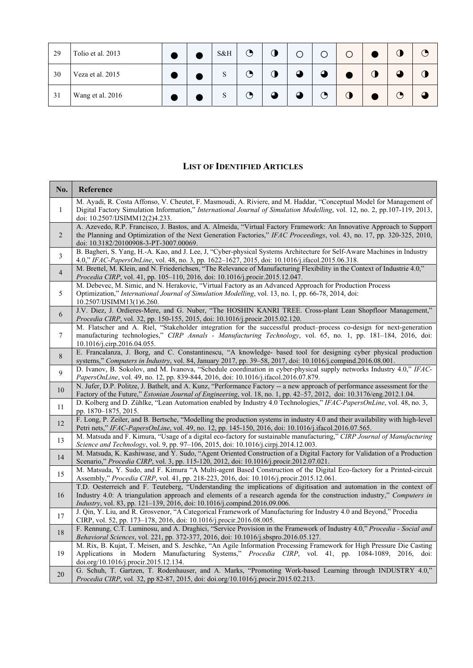| 29 | Tolio et al. 2013 |  | S&H | ◔ | 0 | O         |                   | O |   | C 7 |
|----|-------------------|--|-----|---|---|-----------|-------------------|---|---|-----|
| 30 | Veza et al. 2015  |  | S   | ◔ | J | $\Omega$  |                   |   |   |     |
| 31 | Wang et al. 2016  |  | S   | ◔ |   | $\bigcap$ | $\mathbf{\Theta}$ |   | Э |     |

### **LIST OF IDENTIFIED ARTICLES**

| No.            | Reference                                                                                                                                                                                                                                                                                                                 |
|----------------|---------------------------------------------------------------------------------------------------------------------------------------------------------------------------------------------------------------------------------------------------------------------------------------------------------------------------|
| $\mathbf{1}$   | M. Ayadi, R. Costa Affonso, V. Cheutet, F. Masmoudi, A. Riviere, and M. Haddar, "Conceptual Model for Management of<br>Digital Factory Simulation Information," International Journal of Simulation Modelling, vol. 12, no. 2, pp.107-119, 2013,<br>doi: 10.2507/IJSIMM12(2)4.233.                                        |
| 2              | A. Azevedo, R.P. Francisco, J. Bastos, and A. Almeida, "Virtual Factory Framework: An Innovative Approach to Support<br>the Planning and Optimization of the Next Generation Factories," IFAC Proceedings, vol. 43, no. 17, pp. 320-325, 2010,<br>doi: 10.3182/20100908-3-PT-3007.00069.                                  |
| 3              | B. Bagheri, S. Yang, H.-A. Kao, and J. Lee, J. "Cyber-physical Systems Architecture for Self-Aware Machines in Industry<br>4.0," IFAC-PapersOnLine, vol. 48, no. 3, pp. 1622-1627, 2015, doi: 10.1016/j.ifacol.2015.06.318.                                                                                               |
| $\overline{4}$ | M. Brettel, M. Klein, and N. Friederichsen, "The Relevance of Manufacturing Flexibility in the Context of Industrie 4.0,"<br>Procedia CIRP, vol. 41, pp. 105-110, 2016, doi: 10.1016/j.procir.2015.12.047.                                                                                                                |
| 5              | M. Debevec, M. Simic, and N. Herakovic, "Virtual Factory as an Advanced Approach for Production Process<br>Optimization," International Journal of Simulation Modelling, vol. 13, no. 1, pp. 66-78, 2014, doi:<br>10.2507/IJSIMM13(1)6.260.                                                                               |
| 6              | J.V. Diez, J. Ordieres-Mere, and G. Nuber, "The HOSHIN KANRI TREE. Cross-plant Lean Shopfloor Management,"<br>Procedia CIRP, vol. 32, pp. 150-155, 2015, doi: 10.1016/j.procir.2015.02.120.                                                                                                                               |
| 7              | M. Flatscher and A. Riel, "Stakeholder integration for the successful product-process co-design for next-generation<br>manufacturing technologies," CIRP Annals - Manufacturing Technology, vol. 65, no. 1, pp. 181-184, 2016, doi:<br>10.1016/j.cirp.2016.04.055.                                                        |
| 8              | E. Francalanza, J. Borg, and C. Constantinescu, "A knowledge- based tool for designing cyber physical production<br>systems," Computers in Industry, vol. 84, January 2017, pp. 39-58, 2017, doi: 10.1016/j.compind.2016.08.001.                                                                                          |
| 9              | D. Ivanov, B. Sokolov, and M. Ivanova, "Schedule coordination in cyber-physical supply networks Industry 4.0," IFAC-<br>PapersOnLine, vol. 49, no. 12, pp. 839-844, 2016, doi: 10.1016/j.ifacol.2016.07.879.                                                                                                              |
| 10             | N. Jufer, D.P. Politze, J. Bathelt, and A. Kunz, "Performance Factory -- a new approach of performance assessment for the<br>Factory of the Future," <i>Estonian Journal of Engineering</i> , vol. 18, no. 1, pp. 42–57, 2012, doi: 10.3176/eng.2012.1.04.                                                                |
| $11\,$         | D. Kolberg and D. Zühlke, "Lean Automation enabled by Industry 4.0 Technologies," IFAC-PapersOnLine, vol. 48, no. 3,<br>pp. 1870–1875, 2015.                                                                                                                                                                              |
| 12             | F. Long, P. Zeiler, and B. Bertsche, "Modelling the production systems in industry 4.0 and their availability with high-level<br>Petri nets," IFAC-PapersOnLine, vol. 49, no. 12, pp. 145-150, 2016, doi: 10.1016/j.ifacol.2016.07.565.                                                                                   |
| 13             | M. Matsuda and F. Kimura, "Usage of a digital eco-factory for sustainable manufacturing," CIRP Journal of Manufacturing<br>Science and Technology, vol. 9, pp. 97-106, 2015, doi: 10.1016/j.cirpj.2014.12.003.                                                                                                            |
| 14             | M. Matsuda, K. Kashiwase, and Y. Sudo, "Agent Oriented Construction of a Digital Factory for Validation of a Production<br>Scenario," Procedia CIRP, vol. 3, pp. 115-120, 2012, doi: 10.1016/j.procir.2012.07.021.                                                                                                        |
| 15             | M. Matsuda, Y. Sudo, and F. Kimura "A Multi-agent Based Construction of the Digital Eco-factory for a Printed-circuit<br>Assembly," Procedia CIRP, vol. 41, pp. 218-223, 2016, doi: 10.1016/j.procir.2015.12.061.                                                                                                         |
| 16             | T.D. Oesterreich and F. Teuteberg, "Understanding the implications of digitisation and automation in the context of<br>Industry 4.0: A triangulation approach and elements of a research agenda for the construction industry," Computers in<br>Industry, vol. 83, pp. 121-139, 2016, doi: 10.1016/j.compind.2016.09.006. |
| 17             | J. Qin, Y. Liu, and R. Grosvenor, "A Categorical Framework of Manufacturing for Industry 4.0 and Beyond," Procedia<br>CIRP, vol. 52, pp. 173-178, 2016, doi: 10.1016/j.procir.2016.08.005.                                                                                                                                |
| 18             | F. Rennung, C.T. Luminosu, and A. Draghici, "Service Provision in the Framework of Industry 4.0," Procedia - Social and<br>Behavioral Sciences, vol. 221, pp. 372-377, 2016, doi: 10.1016/j.sbspro.2016.05.127.                                                                                                           |
| 19             | M. Rix, B. Kujat, T. Meisen, and S. Jeschke, "An Agile Information Processing Framework for High Pressure Die Casting<br>Applications in Modern Manufacturing Systems," Procedia CIRP, vol. 41, pp. 1084-1089, 2016, doi:<br>doi.org/10.1016/j.procir.2015.12.134.                                                        |
| 20             | G. Schuh, T. Gartzen, T. Rodenhauser, and A. Marks, "Promoting Work-based Learning through INDUSTRY 4.0,"<br>Procedia CIRP, vol. 32, pp 82-87, 2015, doi: doi.org/10.1016/j.procir.2015.02.213.                                                                                                                           |